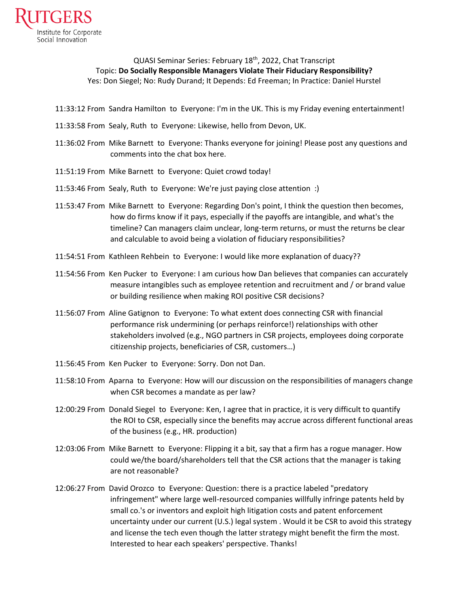

QUASI Seminar Series: February 18<sup>th</sup>, 2022, Chat Transcript Topic: **Do Socially Responsible Managers Violate Their Fiduciary Responsibility?** Yes: Don Siegel; No: Rudy Durand; It Depends: Ed Freeman; In Practice: Daniel Hurstel

- 11:33:12 From Sandra Hamilton to Everyone: I'm in the UK. This is my Friday evening entertainment!
- 11:33:58 From Sealy, Ruth to Everyone: Likewise, hello from Devon, UK.
- 11:36:02 From Mike Barnett to Everyone: Thanks everyone for joining! Please post any questions and comments into the chat box here.
- 11:51:19 From Mike Barnett to Everyone: Quiet crowd today!
- 11:53:46 From Sealy, Ruth to Everyone: We're just paying close attention :)
- 11:53:47 From Mike Barnett to Everyone: Regarding Don's point, I think the question then becomes, how do firms know if it pays, especially if the payoffs are intangible, and what's the timeline? Can managers claim unclear, long-term returns, or must the returns be clear and calculable to avoid being a violation of fiduciary responsibilities?
- 11:54:51 From Kathleen Rehbein to Everyone: I would like more explanation of duacy??
- 11:54:56 From Ken Pucker to Everyone: I am curious how Dan believes that companies can accurately measure intangibles such as employee retention and recruitment and / or brand value or building resilience when making ROI positive CSR decisions?
- 11:56:07 From Aline Gatignon to Everyone: To what extent does connecting CSR with financial performance risk undermining (or perhaps reinforce!) relationships with other stakeholders involved (e.g., NGO partners in CSR projects, employees doing corporate citizenship projects, beneficiaries of CSR, customers…)
- 11:56:45 From Ken Pucker to Everyone: Sorry. Don not Dan.
- 11:58:10 From Aparna to Everyone: How will our discussion on the responsibilities of managers change when CSR becomes a mandate as per law?
- 12:00:29 From Donald Siegel to Everyone: Ken, I agree that in practice, it is very difficult to quantify the ROI to CSR, especially since the benefits may accrue across different functional areas of the business (e.g., HR. production)
- 12:03:06 From Mike Barnett to Everyone: Flipping it a bit, say that a firm has a rogue manager. How could we/the board/shareholders tell that the CSR actions that the manager is taking are not reasonable?
- 12:06:27 From David Orozco to Everyone: Question: there is a practice labeled "predatory infringement" where large well-resourced companies willfully infringe patents held by small co.'s or inventors and exploit high litigation costs and patent enforcement uncertainty under our current (U.S.) legal system . Would it be CSR to avoid this strategy and license the tech even though the latter strategy might benefit the firm the most. Interested to hear each speakers' perspective. Thanks!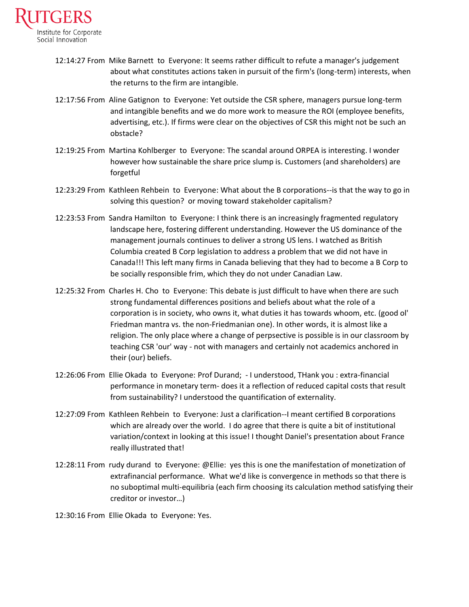

- 12:14:27 From Mike Barnett to Everyone: It seems rather difficult to refute a manager's judgement about what constitutes actions taken in pursuit of the firm's (long-term) interests, when the returns to the firm are intangible.
- 12:17:56 From Aline Gatignon to Everyone: Yet outside the CSR sphere, managers pursue long-term and intangible benefits and we do more work to measure the ROI (employee benefits, advertising, etc.). If firms were clear on the objectives of CSR this might not be such an obstacle?
- 12:19:25 From Martina Kohlberger to Everyone: The scandal around ORPEA is interesting. I wonder however how sustainable the share price slump is. Customers (and shareholders) are forgetful
- 12:23:29 From Kathleen Rehbein to Everyone: What about the B corporations--is that the way to go in solving this question? or moving toward stakeholder capitalism?
- 12:23:53 From Sandra Hamilton to Everyone: I think there is an increasingly fragmented regulatory landscape here, fostering different understanding. However the US dominance of the management journals continues to deliver a strong US lens. I watched as British Columbia created B Corp legislation to address a problem that we did not have in Canada!!! This left many firms in Canada believing that they had to become a B Corp to be socially responsible frim, which they do not under Canadian Law.
- 12:25:32 From Charles H. Cho to Everyone: This debate is just difficult to have when there are such strong fundamental differences positions and beliefs about what the role of a corporation is in society, who owns it, what duties it has towards whoom, etc. (good ol' Friedman mantra vs. the non-Friedmanian one). In other words, it is almost like a religion. The only place where a change of perpsective is possible is in our classroom by teaching CSR 'our' way - not with managers and certainly not academics anchored in their (our) beliefs.
- 12:26:06 From Ellie Okada to Everyone: Prof Durand; I understood, THank you : extra-financial performance in monetary term- does it a reflection of reduced capital costs that result from sustainability? I understood the quantification of externality.
- 12:27:09 From Kathleen Rehbein to Everyone: Just a clarification--I meant certified B corporations which are already over the world. I do agree that there is quite a bit of institutional variation/context in looking at this issue! I thought Daniel's presentation about France really illustrated that!
- 12:28:11 From rudy durand to Everyone: @Ellie: yes this is one the manifestation of monetization of extrafinancial performance. What we'd like is convergence in methods so that there is no suboptimal multi-equilibria (each firm choosing its calculation method satisfying their creditor or investor…)

12:30:16 From Ellie Okada to Everyone: Yes.